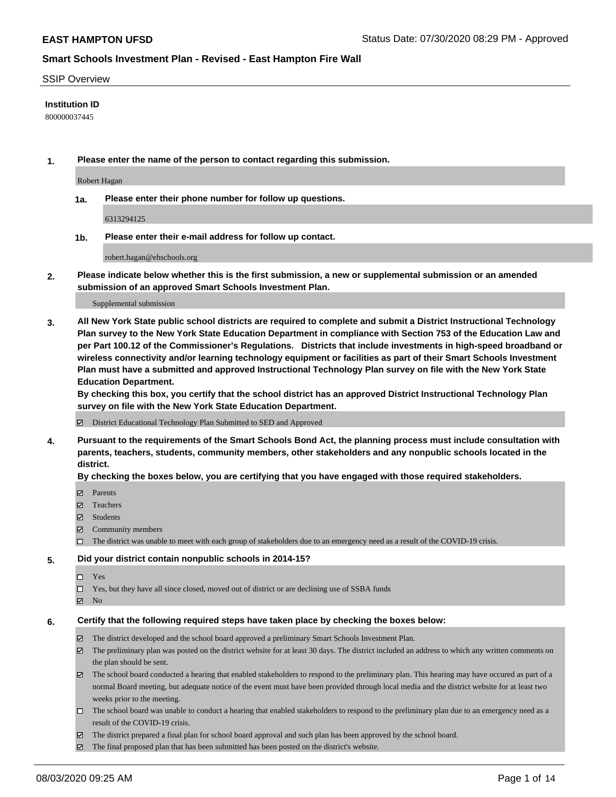#### SSIP Overview

#### **Institution ID**

800000037445

**1. Please enter the name of the person to contact regarding this submission.**

Robert Hagan

**1a. Please enter their phone number for follow up questions.**

6313294125

**1b. Please enter their e-mail address for follow up contact.**

robert.hagan@ehschools.org

**2. Please indicate below whether this is the first submission, a new or supplemental submission or an amended submission of an approved Smart Schools Investment Plan.**

#### Supplemental submission

**3. All New York State public school districts are required to complete and submit a District Instructional Technology Plan survey to the New York State Education Department in compliance with Section 753 of the Education Law and per Part 100.12 of the Commissioner's Regulations. Districts that include investments in high-speed broadband or wireless connectivity and/or learning technology equipment or facilities as part of their Smart Schools Investment Plan must have a submitted and approved Instructional Technology Plan survey on file with the New York State Education Department.** 

**By checking this box, you certify that the school district has an approved District Instructional Technology Plan survey on file with the New York State Education Department.**

District Educational Technology Plan Submitted to SED and Approved

**4. Pursuant to the requirements of the Smart Schools Bond Act, the planning process must include consultation with parents, teachers, students, community members, other stakeholders and any nonpublic schools located in the district.** 

#### **By checking the boxes below, you are certifying that you have engaged with those required stakeholders.**

- **□** Parents
- Teachers
- Students
- $\boxtimes$  Community members
- The district was unable to meet with each group of stakeholders due to an emergency need as a result of the COVID-19 crisis.

#### **5. Did your district contain nonpublic schools in 2014-15?**

- $\neg$  Yes
- Yes, but they have all since closed, moved out of district or are declining use of SSBA funds
- **Z** No

#### **6. Certify that the following required steps have taken place by checking the boxes below:**

- The district developed and the school board approved a preliminary Smart Schools Investment Plan.
- $\boxtimes$  The preliminary plan was posted on the district website for at least 30 days. The district included an address to which any written comments on the plan should be sent.
- $\boxtimes$  The school board conducted a hearing that enabled stakeholders to respond to the preliminary plan. This hearing may have occured as part of a normal Board meeting, but adequate notice of the event must have been provided through local media and the district website for at least two weeks prior to the meeting.
- The school board was unable to conduct a hearing that enabled stakeholders to respond to the preliminary plan due to an emergency need as a result of the COVID-19 crisis.
- The district prepared a final plan for school board approval and such plan has been approved by the school board.
- $\boxtimes$  The final proposed plan that has been submitted has been posted on the district's website.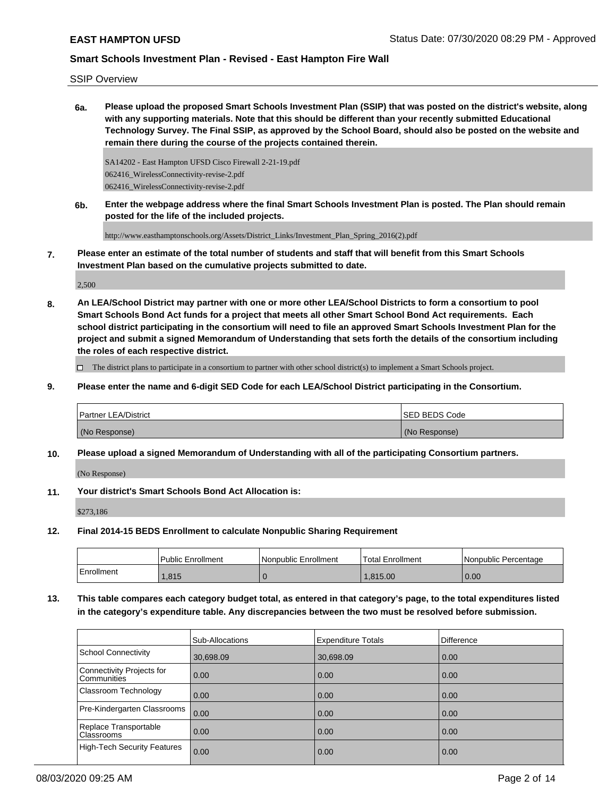SSIP Overview

**6a. Please upload the proposed Smart Schools Investment Plan (SSIP) that was posted on the district's website, along with any supporting materials. Note that this should be different than your recently submitted Educational Technology Survey. The Final SSIP, as approved by the School Board, should also be posted on the website and remain there during the course of the projects contained therein.**

SA14202 - East Hampton UFSD Cisco Firewall 2-21-19.pdf 062416\_WirelessConnectivity-revise-2.pdf 062416\_WirelessConnectivity-revise-2.pdf

**6b. Enter the webpage address where the final Smart Schools Investment Plan is posted. The Plan should remain posted for the life of the included projects.**

http://www.easthamptonschools.org/Assets/District\_Links/Investment\_Plan\_Spring\_2016(2).pdf

**7. Please enter an estimate of the total number of students and staff that will benefit from this Smart Schools Investment Plan based on the cumulative projects submitted to date.**

2,500

**8. An LEA/School District may partner with one or more other LEA/School Districts to form a consortium to pool Smart Schools Bond Act funds for a project that meets all other Smart School Bond Act requirements. Each school district participating in the consortium will need to file an approved Smart Schools Investment Plan for the project and submit a signed Memorandum of Understanding that sets forth the details of the consortium including the roles of each respective district.**

 $\Box$  The district plans to participate in a consortium to partner with other school district(s) to implement a Smart Schools project.

**9. Please enter the name and 6-digit SED Code for each LEA/School District participating in the Consortium.**

| <b>Partner LEA/District</b> | <b>ISED BEDS Code</b> |
|-----------------------------|-----------------------|
| (No Response)               | (No Response)         |

**10. Please upload a signed Memorandum of Understanding with all of the participating Consortium partners.**

(No Response)

**11. Your district's Smart Schools Bond Act Allocation is:**

\$273,186

**12. Final 2014-15 BEDS Enrollment to calculate Nonpublic Sharing Requirement**

|            | Public Enrollment | Nonpublic Enrollment | Total Enrollment | l Nonpublic Percentage |
|------------|-------------------|----------------------|------------------|------------------------|
| Enrollment | .815              |                      | 1.815.00         | 0.00                   |

**13. This table compares each category budget total, as entered in that category's page, to the total expenditures listed in the category's expenditure table. Any discrepancies between the two must be resolved before submission.**

|                                          | Sub-Allocations | <b>Expenditure Totals</b> | <b>Difference</b> |
|------------------------------------------|-----------------|---------------------------|-------------------|
| <b>School Connectivity</b>               | 30,698.09       | 30,698.09                 | 0.00              |
| Connectivity Projects for<br>Communities | 0.00            | 0.00                      | 0.00              |
| Classroom Technology                     | 0.00            | 0.00                      | 0.00              |
| Pre-Kindergarten Classrooms              | 0.00            | 0.00                      | 0.00              |
| Replace Transportable<br>Classrooms      | 0.00            | 0.00                      | 0.00              |
| <b>High-Tech Security Features</b>       | 0.00            | 0.00                      | 0.00              |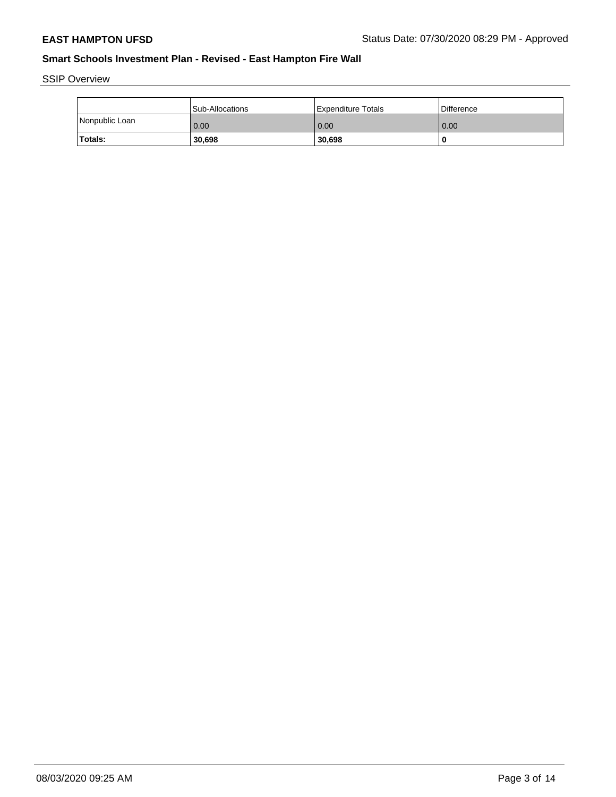SSIP Overview

|                | l Sub-Allocations | Expenditure Totals | Difference |
|----------------|-------------------|--------------------|------------|
| Nonpublic Loan | 0.00              | 0.00               | 0.00       |
| Totals:        | 30,698            | 30,698             |            |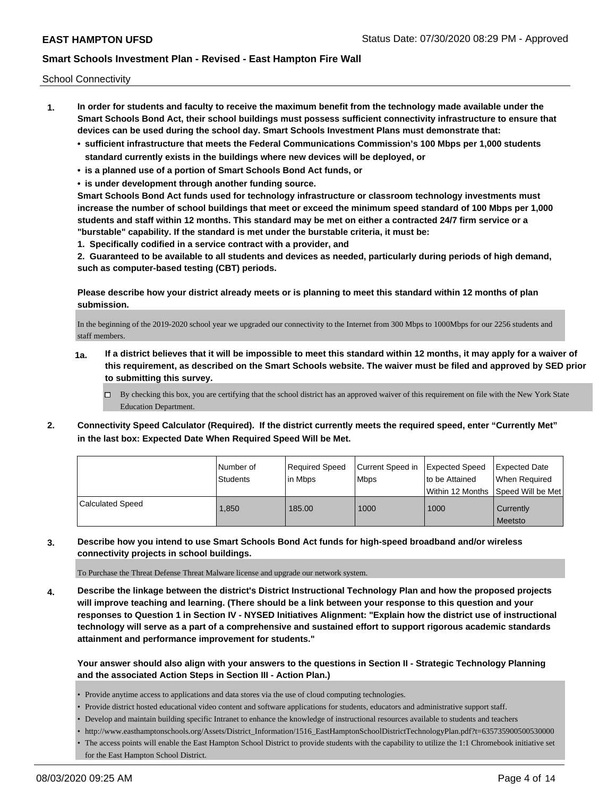School Connectivity

- **1. In order for students and faculty to receive the maximum benefit from the technology made available under the Smart Schools Bond Act, their school buildings must possess sufficient connectivity infrastructure to ensure that devices can be used during the school day. Smart Schools Investment Plans must demonstrate that:**
	- **• sufficient infrastructure that meets the Federal Communications Commission's 100 Mbps per 1,000 students standard currently exists in the buildings where new devices will be deployed, or**
	- **• is a planned use of a portion of Smart Schools Bond Act funds, or**
	- **• is under development through another funding source.**

**Smart Schools Bond Act funds used for technology infrastructure or classroom technology investments must increase the number of school buildings that meet or exceed the minimum speed standard of 100 Mbps per 1,000 students and staff within 12 months. This standard may be met on either a contracted 24/7 firm service or a "burstable" capability. If the standard is met under the burstable criteria, it must be:**

**1. Specifically codified in a service contract with a provider, and**

**2. Guaranteed to be available to all students and devices as needed, particularly during periods of high demand, such as computer-based testing (CBT) periods.**

**Please describe how your district already meets or is planning to meet this standard within 12 months of plan submission.**

In the beginning of the 2019-2020 school year we upgraded our connectivity to the Internet from 300 Mbps to 1000Mbps for our 2256 students and staff members.

- **1a. If a district believes that it will be impossible to meet this standard within 12 months, it may apply for a waiver of this requirement, as described on the Smart Schools website. The waiver must be filed and approved by SED prior to submitting this survey.**
	- $\Box$  By checking this box, you are certifying that the school district has an approved waiver of this requirement on file with the New York State Education Department.
- **2. Connectivity Speed Calculator (Required). If the district currently meets the required speed, enter "Currently Met" in the last box: Expected Date When Required Speed Will be Met.**

|                  | l Number of     | Required Speed | Current Speed in   Expected Speed | to be Attained                       | <b>Expected Date</b> |
|------------------|-----------------|----------------|-----------------------------------|--------------------------------------|----------------------|
|                  | <b>Students</b> | in Mbps        | <b>Mbps</b>                       | Within 12 Months   Speed Will be Met | l When Reauired      |
| Calculated Speed | 1.850           | 185.00         | 1000                              | 1000                                 | Currently<br>Meetsto |

**3. Describe how you intend to use Smart Schools Bond Act funds for high-speed broadband and/or wireless connectivity projects in school buildings.**

To Purchase the Threat Defense Threat Malware license and upgrade our network system.

**4. Describe the linkage between the district's District Instructional Technology Plan and how the proposed projects will improve teaching and learning. (There should be a link between your response to this question and your responses to Question 1 in Section IV - NYSED Initiatives Alignment: "Explain how the district use of instructional technology will serve as a part of a comprehensive and sustained effort to support rigorous academic standards attainment and performance improvement for students."** 

**Your answer should also align with your answers to the questions in Section II - Strategic Technology Planning and the associated Action Steps in Section III - Action Plan.)**

- Provide anytime access to applications and data stores via the use of cloud computing technologies.
- Provide district hosted educational video content and software applications for students, educators and administrative support staff.
- Develop and maintain building specific Intranet to enhance the knowledge of instructional resources available to students and teachers
- http://www.easthamptonschools.org/Assets/District\_Information/1516\_EastHamptonSchoolDistrictTechnologyPlan.pdf?t=635735900500530000
- The access points will enable the East Hampton School District to provide students with the capability to utilize the 1:1 Chromebook initiative set for the East Hampton School District.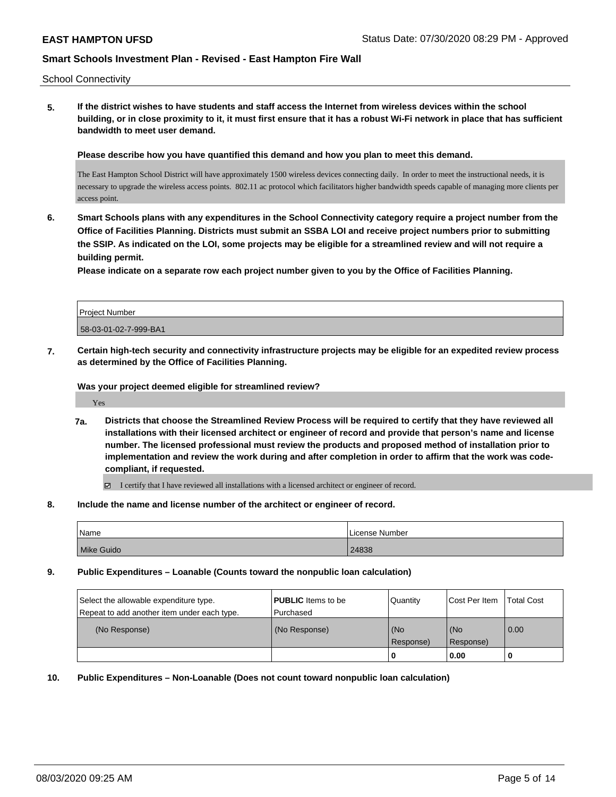School Connectivity

**5. If the district wishes to have students and staff access the Internet from wireless devices within the school building, or in close proximity to it, it must first ensure that it has a robust Wi-Fi network in place that has sufficient bandwidth to meet user demand.**

**Please describe how you have quantified this demand and how you plan to meet this demand.**

The East Hampton School District will have approximately 1500 wireless devices connecting daily. In order to meet the instructional needs, it is necessary to upgrade the wireless access points. 802.11 ac protocol which facilitators higher bandwidth speeds capable of managing more clients per access point.

**6. Smart Schools plans with any expenditures in the School Connectivity category require a project number from the Office of Facilities Planning. Districts must submit an SSBA LOI and receive project numbers prior to submitting the SSIP. As indicated on the LOI, some projects may be eligible for a streamlined review and will not require a building permit.**

**Please indicate on a separate row each project number given to you by the Office of Facilities Planning.**

| Project Number        |  |
|-----------------------|--|
| 58-03-01-02-7-999-BA1 |  |

**7. Certain high-tech security and connectivity infrastructure projects may be eligible for an expedited review process as determined by the Office of Facilities Planning.**

**Was your project deemed eligible for streamlined review?**

Yes

**7a. Districts that choose the Streamlined Review Process will be required to certify that they have reviewed all installations with their licensed architect or engineer of record and provide that person's name and license number. The licensed professional must review the products and proposed method of installation prior to implementation and review the work during and after completion in order to affirm that the work was codecompliant, if requested.**

I certify that I have reviewed all installations with a licensed architect or engineer of record.

**8. Include the name and license number of the architect or engineer of record.**

| Name       | License Number |
|------------|----------------|
| Mike Guido | 24838          |

**9. Public Expenditures – Loanable (Counts toward the nonpublic loan calculation)**

| Select the allowable expenditure type.<br>Repeat to add another item under each type. | <b>PUBLIC</b> Items to be<br>l Purchased | Quantity           | Cost Per Item    | <b>Total Cost</b> |
|---------------------------------------------------------------------------------------|------------------------------------------|--------------------|------------------|-------------------|
| (No Response)                                                                         | (No Response)                            | (No<br>l Response) | (No<br>Response) | 0.00              |
|                                                                                       |                                          | U                  | 0.00             |                   |

**10. Public Expenditures – Non-Loanable (Does not count toward nonpublic loan calculation)**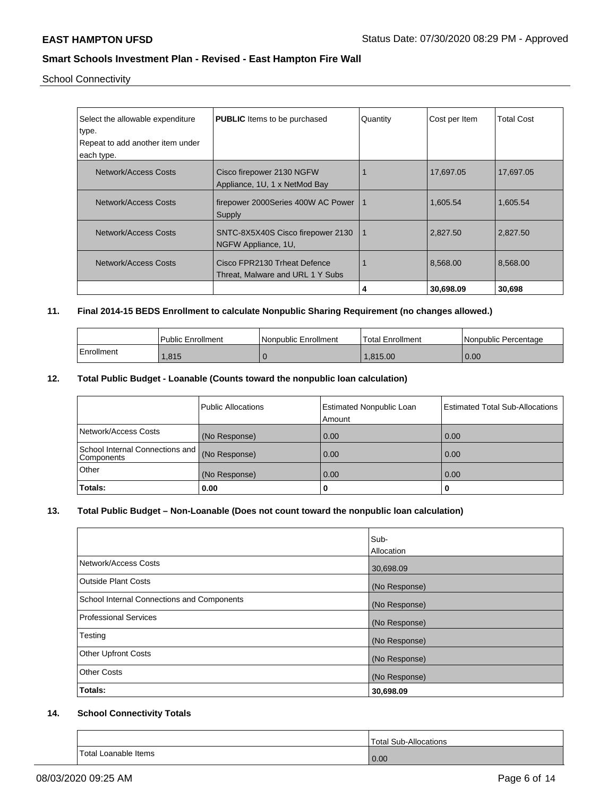School Connectivity

| Select the allowable expenditure<br>type.<br>Repeat to add another item under<br>each type. | <b>PUBLIC</b> Items to be purchased                              | Quantity | Cost per Item | <b>Total Cost</b> |
|---------------------------------------------------------------------------------------------|------------------------------------------------------------------|----------|---------------|-------------------|
| Network/Access Costs                                                                        | Cisco firepower 2130 NGFW<br>Appliance, 1U, 1 x NetMod Bay       |          | 17,697.05     | 17,697.05         |
| Network/Access Costs                                                                        | firepower 2000Series 400W AC Power<br>Supply                     | -1       | 1,605.54      | 1,605.54          |
| Network/Access Costs                                                                        | SNTC-8X5X40S Cisco firepower 2130<br>NGFW Appliance, 1U,         | 1        | 2,827.50      | 2.827.50          |
| Network/Access Costs                                                                        | Cisco FPR2130 Trheat Defence<br>Threat, Malware and URL 1 Y Subs |          | 8,568.00      | 8,568.00          |
|                                                                                             |                                                                  | 4        | 30,698.09     | 30,698            |

## **11. Final 2014-15 BEDS Enrollment to calculate Nonpublic Sharing Requirement (no changes allowed.)**

|            | <b>Public Enrollment</b> | Nonpublic Enrollment | Total Enrollment | I Nonpublic Percentage |
|------------|--------------------------|----------------------|------------------|------------------------|
| Enrollment | 1.815                    |                      | .815.00          | 0.00                   |

## **12. Total Public Budget - Loanable (Counts toward the nonpublic loan calculation)**

|                                                 | Public Allocations | <b>Estimated Nonpublic Loan</b><br>Amount | <b>Estimated Total Sub-Allocations</b> |
|-------------------------------------------------|--------------------|-------------------------------------------|----------------------------------------|
| Network/Access Costs                            | (No Response)      | 0.00                                      | 0.00                                   |
| School Internal Connections and  <br>Components | (No Response)      | 0.00                                      | 0.00                                   |
| Other                                           | (No Response)      | 0.00                                      | 0.00                                   |
| Totals:                                         | 0.00               | 0                                         |                                        |

## **13. Total Public Budget – Non-Loanable (Does not count toward the nonpublic loan calculation)**

|                                            | Sub-<br>Allocation |
|--------------------------------------------|--------------------|
| Network/Access Costs                       | 30,698.09          |
| Outside Plant Costs                        | (No Response)      |
| School Internal Connections and Components | (No Response)      |
| Professional Services                      | (No Response)      |
| Testing                                    | (No Response)      |
| <b>Other Upfront Costs</b>                 | (No Response)      |
| <b>Other Costs</b>                         | (No Response)      |
| Totals:                                    | 30,698.09          |

## **14. School Connectivity Totals**

|                             | Total Sub-Allocations |
|-----------------------------|-----------------------|
| <b>Total Loanable Items</b> | 0.00                  |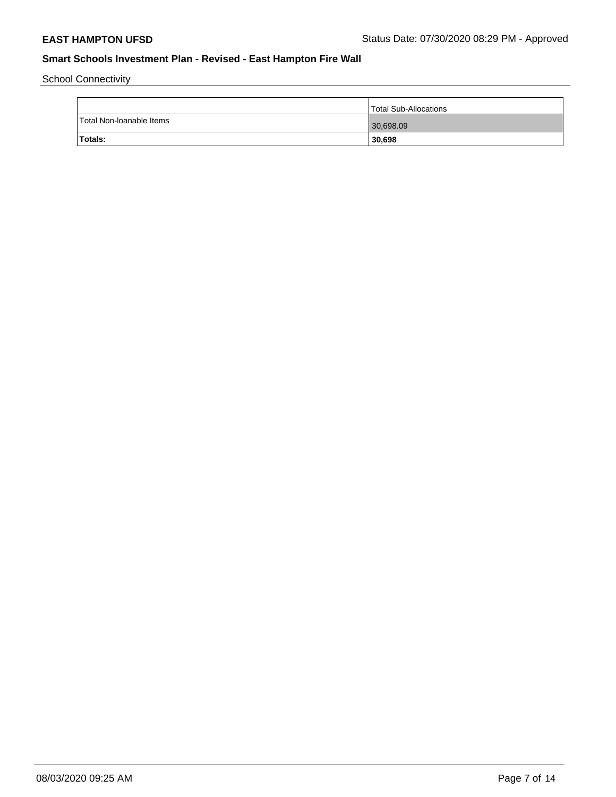School Connectivity

|                          | Total Sub-Allocations |
|--------------------------|-----------------------|
| Total Non-Ioanable Items | 30,698.09             |
| Totals:                  | 30,698                |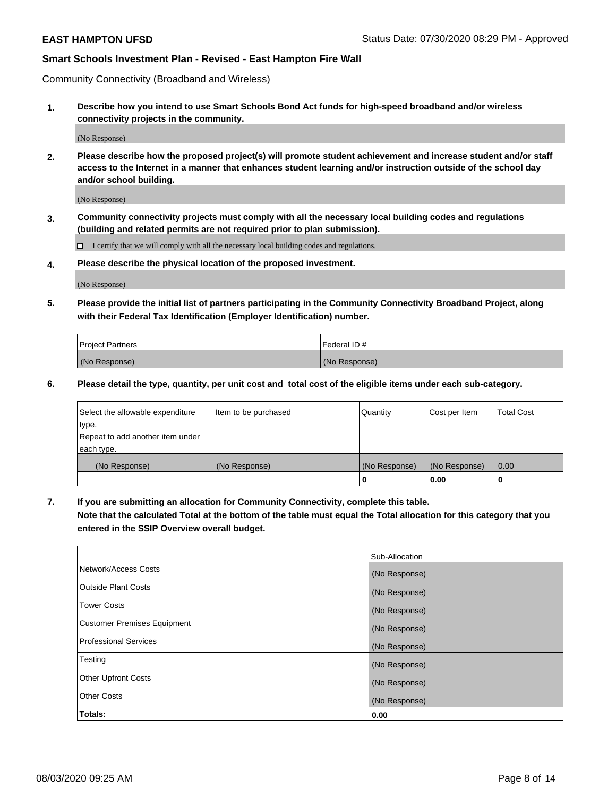Community Connectivity (Broadband and Wireless)

**1. Describe how you intend to use Smart Schools Bond Act funds for high-speed broadband and/or wireless connectivity projects in the community.**

(No Response)

**2. Please describe how the proposed project(s) will promote student achievement and increase student and/or staff access to the Internet in a manner that enhances student learning and/or instruction outside of the school day and/or school building.**

(No Response)

**3. Community connectivity projects must comply with all the necessary local building codes and regulations (building and related permits are not required prior to plan submission).**

 $\Box$  I certify that we will comply with all the necessary local building codes and regulations.

**4. Please describe the physical location of the proposed investment.**

(No Response)

**5. Please provide the initial list of partners participating in the Community Connectivity Broadband Project, along with their Federal Tax Identification (Employer Identification) number.**

| <b>Project Partners</b> | l Federal ID # |
|-------------------------|----------------|
| (No Response)           | (No Response)  |

**6. Please detail the type, quantity, per unit cost and total cost of the eligible items under each sub-category.**

| Select the allowable expenditure | Item to be purchased | Quantity      | Cost per Item | <b>Total Cost</b> |
|----------------------------------|----------------------|---------------|---------------|-------------------|
| type.                            |                      |               |               |                   |
| Repeat to add another item under |                      |               |               |                   |
| each type.                       |                      |               |               |                   |
| (No Response)                    | (No Response)        | (No Response) | (No Response) | 0.00              |
|                                  |                      | o             | 0.00          |                   |

**7. If you are submitting an allocation for Community Connectivity, complete this table.**

**Note that the calculated Total at the bottom of the table must equal the Total allocation for this category that you entered in the SSIP Overview overall budget.**

|                                    | Sub-Allocation |
|------------------------------------|----------------|
| Network/Access Costs               | (No Response)  |
| Outside Plant Costs                | (No Response)  |
| <b>Tower Costs</b>                 | (No Response)  |
| <b>Customer Premises Equipment</b> | (No Response)  |
| <b>Professional Services</b>       | (No Response)  |
| Testing                            | (No Response)  |
| <b>Other Upfront Costs</b>         | (No Response)  |
| <b>Other Costs</b>                 | (No Response)  |
| Totals:                            | 0.00           |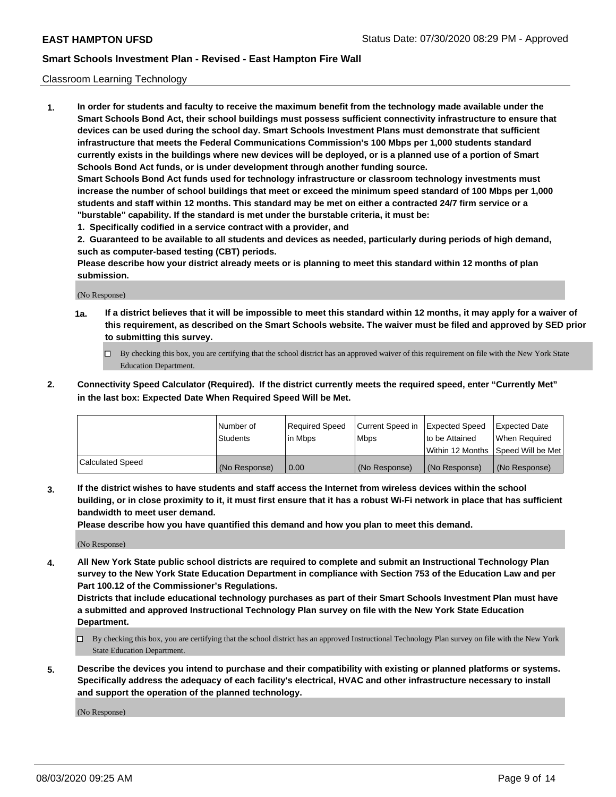### Classroom Learning Technology

**1. In order for students and faculty to receive the maximum benefit from the technology made available under the Smart Schools Bond Act, their school buildings must possess sufficient connectivity infrastructure to ensure that devices can be used during the school day. Smart Schools Investment Plans must demonstrate that sufficient infrastructure that meets the Federal Communications Commission's 100 Mbps per 1,000 students standard currently exists in the buildings where new devices will be deployed, or is a planned use of a portion of Smart Schools Bond Act funds, or is under development through another funding source. Smart Schools Bond Act funds used for technology infrastructure or classroom technology investments must increase the number of school buildings that meet or exceed the minimum speed standard of 100 Mbps per 1,000 students and staff within 12 months. This standard may be met on either a contracted 24/7 firm service or a "burstable" capability. If the standard is met under the burstable criteria, it must be:**

**1. Specifically codified in a service contract with a provider, and**

**2. Guaranteed to be available to all students and devices as needed, particularly during periods of high demand, such as computer-based testing (CBT) periods.**

**Please describe how your district already meets or is planning to meet this standard within 12 months of plan submission.**

(No Response)

- **1a. If a district believes that it will be impossible to meet this standard within 12 months, it may apply for a waiver of this requirement, as described on the Smart Schools website. The waiver must be filed and approved by SED prior to submitting this survey.**
	- By checking this box, you are certifying that the school district has an approved waiver of this requirement on file with the New York State Education Department.
- **2. Connectivity Speed Calculator (Required). If the district currently meets the required speed, enter "Currently Met" in the last box: Expected Date When Required Speed Will be Met.**

|                  | l Number of     | Required Speed | Current Speed in | <b>Expected Speed</b> | <b>Expected Date</b>                |
|------------------|-----------------|----------------|------------------|-----------------------|-------------------------------------|
|                  | <b>Students</b> | l in Mbps      | l Mbps           | to be Attained        | When Required                       |
|                  |                 |                |                  |                       | Within 12 Months  Speed Will be Met |
| Calculated Speed | (No Response)   | 0.00           | (No Response)    | l (No Response)       | (No Response)                       |

**3. If the district wishes to have students and staff access the Internet from wireless devices within the school building, or in close proximity to it, it must first ensure that it has a robust Wi-Fi network in place that has sufficient bandwidth to meet user demand.**

**Please describe how you have quantified this demand and how you plan to meet this demand.**

(No Response)

**4. All New York State public school districts are required to complete and submit an Instructional Technology Plan survey to the New York State Education Department in compliance with Section 753 of the Education Law and per Part 100.12 of the Commissioner's Regulations.**

**Districts that include educational technology purchases as part of their Smart Schools Investment Plan must have a submitted and approved Instructional Technology Plan survey on file with the New York State Education Department.**

- By checking this box, you are certifying that the school district has an approved Instructional Technology Plan survey on file with the New York State Education Department.
- **5. Describe the devices you intend to purchase and their compatibility with existing or planned platforms or systems. Specifically address the adequacy of each facility's electrical, HVAC and other infrastructure necessary to install and support the operation of the planned technology.**

(No Response)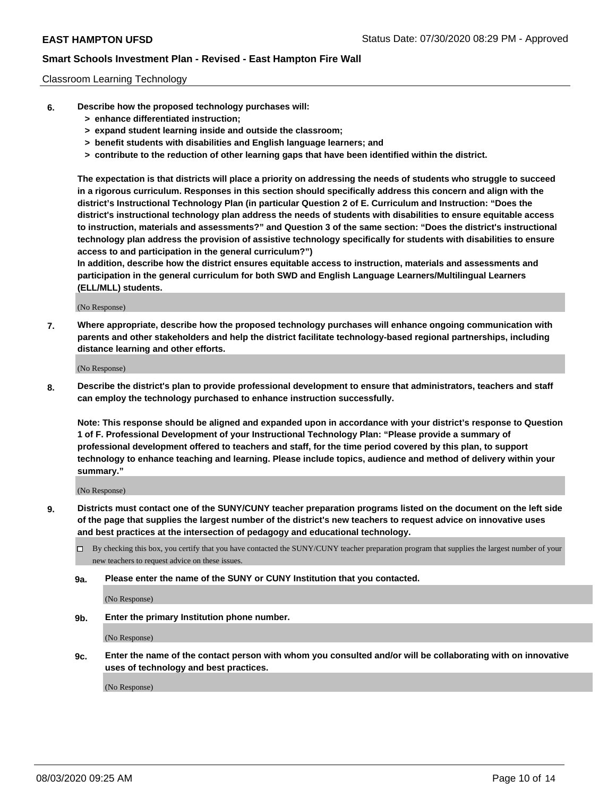#### Classroom Learning Technology

- **6. Describe how the proposed technology purchases will:**
	- **> enhance differentiated instruction;**
	- **> expand student learning inside and outside the classroom;**
	- **> benefit students with disabilities and English language learners; and**
	- **> contribute to the reduction of other learning gaps that have been identified within the district.**

**The expectation is that districts will place a priority on addressing the needs of students who struggle to succeed in a rigorous curriculum. Responses in this section should specifically address this concern and align with the district's Instructional Technology Plan (in particular Question 2 of E. Curriculum and Instruction: "Does the district's instructional technology plan address the needs of students with disabilities to ensure equitable access to instruction, materials and assessments?" and Question 3 of the same section: "Does the district's instructional technology plan address the provision of assistive technology specifically for students with disabilities to ensure access to and participation in the general curriculum?")**

**In addition, describe how the district ensures equitable access to instruction, materials and assessments and participation in the general curriculum for both SWD and English Language Learners/Multilingual Learners (ELL/MLL) students.**

(No Response)

**7. Where appropriate, describe how the proposed technology purchases will enhance ongoing communication with parents and other stakeholders and help the district facilitate technology-based regional partnerships, including distance learning and other efforts.**

(No Response)

**8. Describe the district's plan to provide professional development to ensure that administrators, teachers and staff can employ the technology purchased to enhance instruction successfully.**

**Note: This response should be aligned and expanded upon in accordance with your district's response to Question 1 of F. Professional Development of your Instructional Technology Plan: "Please provide a summary of professional development offered to teachers and staff, for the time period covered by this plan, to support technology to enhance teaching and learning. Please include topics, audience and method of delivery within your summary."**

(No Response)

- **9. Districts must contact one of the SUNY/CUNY teacher preparation programs listed on the document on the left side of the page that supplies the largest number of the district's new teachers to request advice on innovative uses and best practices at the intersection of pedagogy and educational technology.**
	- By checking this box, you certify that you have contacted the SUNY/CUNY teacher preparation program that supplies the largest number of your new teachers to request advice on these issues.
	- **9a. Please enter the name of the SUNY or CUNY Institution that you contacted.**

(No Response)

**9b. Enter the primary Institution phone number.**

(No Response)

**9c. Enter the name of the contact person with whom you consulted and/or will be collaborating with on innovative uses of technology and best practices.**

(No Response)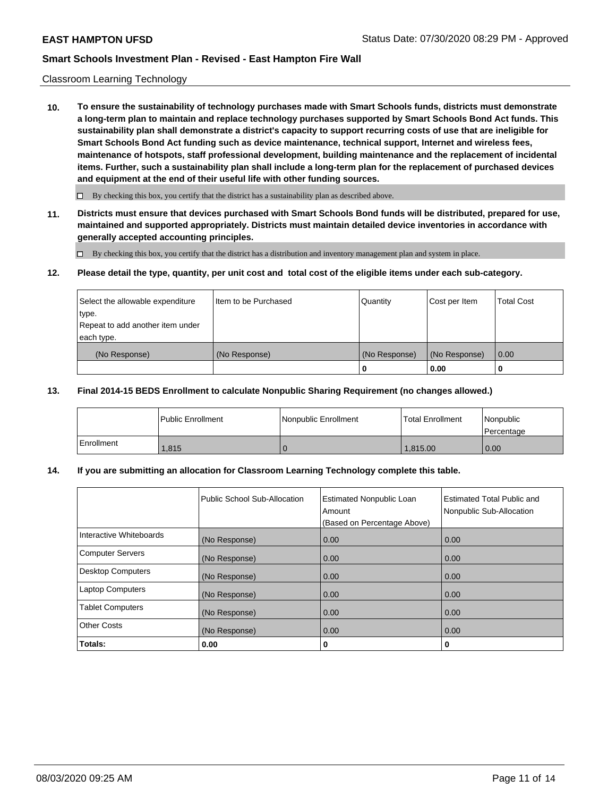#### Classroom Learning Technology

**10. To ensure the sustainability of technology purchases made with Smart Schools funds, districts must demonstrate a long-term plan to maintain and replace technology purchases supported by Smart Schools Bond Act funds. This sustainability plan shall demonstrate a district's capacity to support recurring costs of use that are ineligible for Smart Schools Bond Act funding such as device maintenance, technical support, Internet and wireless fees, maintenance of hotspots, staff professional development, building maintenance and the replacement of incidental items. Further, such a sustainability plan shall include a long-term plan for the replacement of purchased devices and equipment at the end of their useful life with other funding sources.**

 $\Box$  By checking this box, you certify that the district has a sustainability plan as described above.

**11. Districts must ensure that devices purchased with Smart Schools Bond funds will be distributed, prepared for use, maintained and supported appropriately. Districts must maintain detailed device inventories in accordance with generally accepted accounting principles.**

By checking this box, you certify that the district has a distribution and inventory management plan and system in place.

#### **12. Please detail the type, quantity, per unit cost and total cost of the eligible items under each sub-category.**

| Select the allowable expenditure<br>type.<br>Repeat to add another item under | Item to be Purchased | Quantity      | Cost per Item | <b>Total Cost</b> |
|-------------------------------------------------------------------------------|----------------------|---------------|---------------|-------------------|
| each type.<br>(No Response)                                                   | (No Response)        | (No Response) | (No Response) | 0.00              |
|                                                                               |                      | 0             | 0.00          |                   |

#### **13. Final 2014-15 BEDS Enrollment to calculate Nonpublic Sharing Requirement (no changes allowed.)**

|            | l Public Enrollment | <b>INonpublic Enrollment</b> | <b>Total Enrollment</b> | Nonpublic<br>l Percentage |
|------------|---------------------|------------------------------|-------------------------|---------------------------|
| Enrollment | 1.815               |                              | 1.815.00                | 0.00                      |

## **14. If you are submitting an allocation for Classroom Learning Technology complete this table.**

|                         | Public School Sub-Allocation | <b>Estimated Nonpublic Loan</b><br>Amount<br>(Based on Percentage Above) | Estimated Total Public and<br>Nonpublic Sub-Allocation |
|-------------------------|------------------------------|--------------------------------------------------------------------------|--------------------------------------------------------|
| Interactive Whiteboards | (No Response)                | 0.00                                                                     | 0.00                                                   |
| Computer Servers        | (No Response)                | 0.00                                                                     | 0.00                                                   |
| Desktop Computers       | (No Response)                | 0.00                                                                     | 0.00                                                   |
| <b>Laptop Computers</b> | (No Response)                | 0.00                                                                     | 0.00                                                   |
| <b>Tablet Computers</b> | (No Response)                | 0.00                                                                     | 0.00                                                   |
| Other Costs             | (No Response)                | 0.00                                                                     | 0.00                                                   |
| Totals:                 | 0.00                         | 0                                                                        | 0                                                      |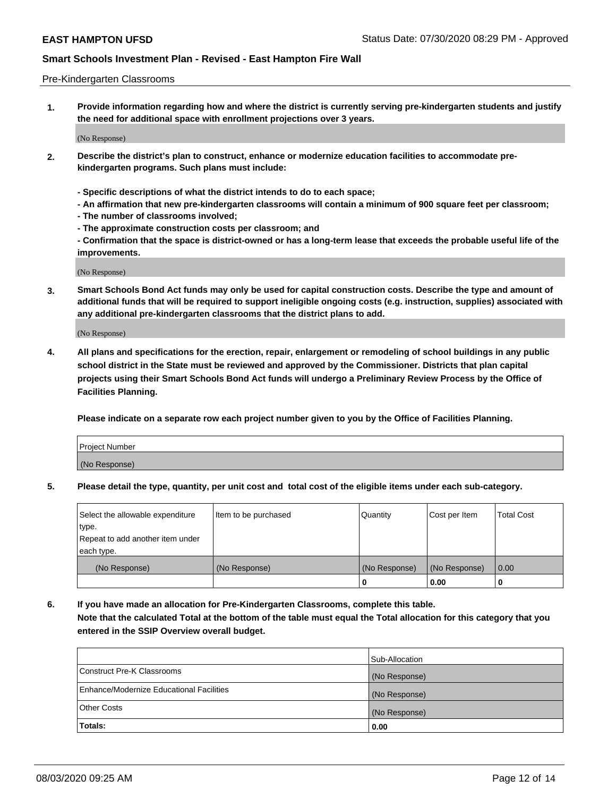#### Pre-Kindergarten Classrooms

**1. Provide information regarding how and where the district is currently serving pre-kindergarten students and justify the need for additional space with enrollment projections over 3 years.**

(No Response)

- **2. Describe the district's plan to construct, enhance or modernize education facilities to accommodate prekindergarten programs. Such plans must include:**
	- **Specific descriptions of what the district intends to do to each space;**
	- **An affirmation that new pre-kindergarten classrooms will contain a minimum of 900 square feet per classroom;**
	- **The number of classrooms involved;**
	- **The approximate construction costs per classroom; and**
	- **Confirmation that the space is district-owned or has a long-term lease that exceeds the probable useful life of the improvements.**

(No Response)

**3. Smart Schools Bond Act funds may only be used for capital construction costs. Describe the type and amount of additional funds that will be required to support ineligible ongoing costs (e.g. instruction, supplies) associated with any additional pre-kindergarten classrooms that the district plans to add.**

(No Response)

**4. All plans and specifications for the erection, repair, enlargement or remodeling of school buildings in any public school district in the State must be reviewed and approved by the Commissioner. Districts that plan capital projects using their Smart Schools Bond Act funds will undergo a Preliminary Review Process by the Office of Facilities Planning.**

**Please indicate on a separate row each project number given to you by the Office of Facilities Planning.**

| Project Number |  |
|----------------|--|
| (No Response)  |  |
|                |  |

**5. Please detail the type, quantity, per unit cost and total cost of the eligible items under each sub-category.**

| Select the allowable expenditure | Item to be purchased | Quantity      | Cost per Item | <b>Total Cost</b> |
|----------------------------------|----------------------|---------------|---------------|-------------------|
| type.                            |                      |               |               |                   |
| Repeat to add another item under |                      |               |               |                   |
| each type.                       |                      |               |               |                   |
| (No Response)                    | (No Response)        | (No Response) | (No Response) | 0.00              |
|                                  |                      | υ             | 0.00          |                   |

**6. If you have made an allocation for Pre-Kindergarten Classrooms, complete this table. Note that the calculated Total at the bottom of the table must equal the Total allocation for this category that you entered in the SSIP Overview overall budget.**

|                                          | Sub-Allocation |
|------------------------------------------|----------------|
| Construct Pre-K Classrooms               | (No Response)  |
| Enhance/Modernize Educational Facilities | (No Response)  |
| <b>Other Costs</b>                       | (No Response)  |
| Totals:                                  | 0.00           |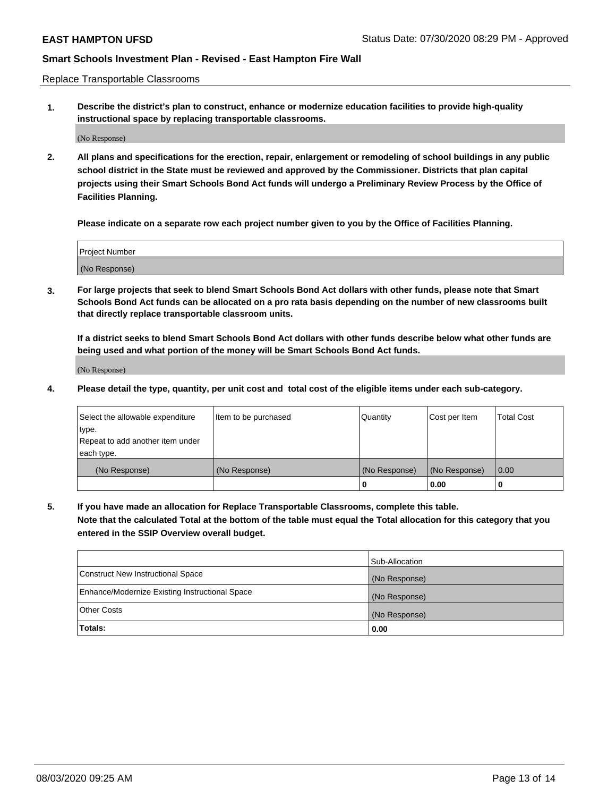Replace Transportable Classrooms

**1. Describe the district's plan to construct, enhance or modernize education facilities to provide high-quality instructional space by replacing transportable classrooms.**

(No Response)

**2. All plans and specifications for the erection, repair, enlargement or remodeling of school buildings in any public school district in the State must be reviewed and approved by the Commissioner. Districts that plan capital projects using their Smart Schools Bond Act funds will undergo a Preliminary Review Process by the Office of Facilities Planning.**

**Please indicate on a separate row each project number given to you by the Office of Facilities Planning.**

| Project Number |  |
|----------------|--|
|                |  |
|                |  |
|                |  |
| (No Response)  |  |
|                |  |
|                |  |

**3. For large projects that seek to blend Smart Schools Bond Act dollars with other funds, please note that Smart Schools Bond Act funds can be allocated on a pro rata basis depending on the number of new classrooms built that directly replace transportable classroom units.**

**If a district seeks to blend Smart Schools Bond Act dollars with other funds describe below what other funds are being used and what portion of the money will be Smart Schools Bond Act funds.**

(No Response)

**4. Please detail the type, quantity, per unit cost and total cost of the eligible items under each sub-category.**

| Select the allowable expenditure | Item to be purchased | Quantity      | Cost per Item | Total Cost |
|----------------------------------|----------------------|---------------|---------------|------------|
| ∣type.                           |                      |               |               |            |
| Repeat to add another item under |                      |               |               |            |
| each type.                       |                      |               |               |            |
| (No Response)                    | (No Response)        | (No Response) | (No Response) | 0.00       |
|                                  |                      | u             | 0.00          |            |

**5. If you have made an allocation for Replace Transportable Classrooms, complete this table. Note that the calculated Total at the bottom of the table must equal the Total allocation for this category that you entered in the SSIP Overview overall budget.**

|                                                | Sub-Allocation |
|------------------------------------------------|----------------|
| Construct New Instructional Space              | (No Response)  |
| Enhance/Modernize Existing Instructional Space | (No Response)  |
| <b>Other Costs</b>                             | (No Response)  |
| Totals:                                        | 0.00           |